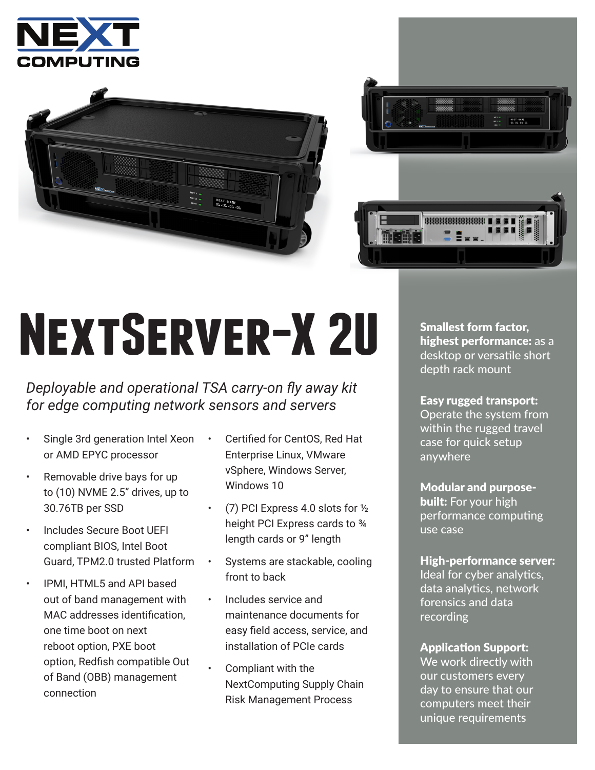





# **NextServer-X 2U**

### *Deployable and operational TSA carry-on fly away kit for edge computing network sensors and servers*

- Single 3rd generation Intel Xeon or AMD EPYC processor
- Removable drive bays for up to (10) NVME 2.5" drives, up to 30.76TB per SSD
- Includes Secure Boot UEFI compliant BIOS, Intel Boot Guard, TPM2.0 trusted Platform
- IPMI, HTML5 and API based out of band management with MAC addresses identification, one time boot on next reboot option, PXE boot option, Redfish compatible Out of Band (OBB) management connection
- Certified for CentOS, Red Hat Enterprise Linux, VMware vSphere, Windows Server, Windows 10
- (7) PCI Express 4.0 slots for  $\frac{1}{2}$ height PCI Express cards to ¾ length cards or 9" length
- Systems are stackable, cooling front to back
- Includes service and maintenance documents for easy field access, service, and installation of PCIe cards
- Compliant with the NextComputing Supply Chain Risk Management Process

Smallest form factor, highest performance: as a desktop or versatile short depth rack mount

Easy rugged transport: Operate the system from within the rugged travel case for quick setup anywhere

Modular and purpose**built:** For your high performance computing use case

High-performance server: Ideal for cyber analytics, data analytics, network forensics and data recording

Application Support: We work directly with our customers every day to ensure that our computers meet their unique requirements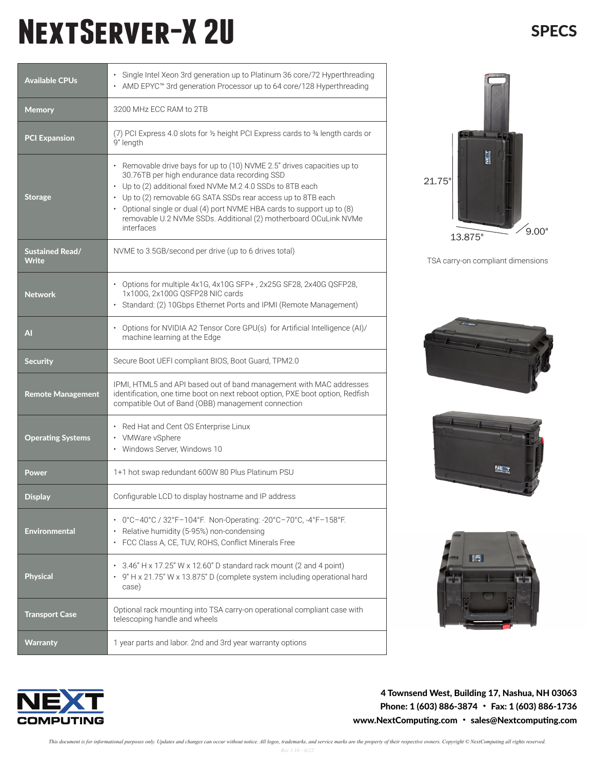## **NextServer-X 2U**

| <b>Available CPUs</b>                  | · Single Intel Xeon 3rd generation up to Platinum 36 core/72 Hyperthreading<br>AMD EPYC™ 3rd generation Processor up to 64 core/128 Hyperthreading                                                                                                                                                                                                                                                                |
|----------------------------------------|-------------------------------------------------------------------------------------------------------------------------------------------------------------------------------------------------------------------------------------------------------------------------------------------------------------------------------------------------------------------------------------------------------------------|
| <b>Memory</b>                          | 3200 MHz ECC RAM to 2TB                                                                                                                                                                                                                                                                                                                                                                                           |
| <b>PCI Expansion</b>                   | (7) PCI Express 4.0 slots for 1/2 height PCI Express cards to 34 length cards or<br>9" length                                                                                                                                                                                                                                                                                                                     |
| <b>Storage</b>                         | • Removable drive bays for up to (10) NVME 2.5" drives capacities up to<br>30.76TB per high endurance data recording SSD<br>• Up to (2) additional fixed NVMe M.2 4.0 SSDs to 8TB each<br>Up to (2) removable 6G SATA SSDs rear access up to 8TB each<br>• Optional single or dual (4) port NVME HBA cards to support up to (8)<br>removable U.2 NVMe SSDs. Additional (2) motherboard OCuLink NVMe<br>interfaces |
| <b>Sustained Read/</b><br><b>Write</b> | NVME to 3.5GB/second per drive (up to 6 drives total)                                                                                                                                                                                                                                                                                                                                                             |
| <b>Network</b>                         | • Options for multiple 4x1G, 4x10G SFP+, 2x25G SF28, 2x40G QSFP28,<br>1x100G, 2x100G QSFP28 NIC cards<br>Standard: (2) 10Gbps Ethernet Ports and IPMI (Remote Management)<br>$\bullet$                                                                                                                                                                                                                            |
| AI                                     | Options for NVIDIA A2 Tensor Core GPU(s) for Artificial Intelligence (AI)/<br>machine learning at the Edge                                                                                                                                                                                                                                                                                                        |
| <b>Security</b>                        | Secure Boot UEFI compliant BIOS, Boot Guard, TPM2.0                                                                                                                                                                                                                                                                                                                                                               |
| <b>Remote Management</b>               | IPMI, HTML5 and API based out of band management with MAC addresses<br>identification, one time boot on next reboot option, PXE boot option, Redfish<br>compatible Out of Band (OBB) management connection                                                                                                                                                                                                        |
| <b>Operating Systems</b>               | • Red Hat and Cent OS Enterprise Linux<br>• VMWare vSphere<br>• Windows Server, Windows 10                                                                                                                                                                                                                                                                                                                        |
| <b>Power</b>                           | 1+1 hot swap redundant 600W 80 Plus Platinum PSU                                                                                                                                                                                                                                                                                                                                                                  |
| <b>Display</b>                         | Configurable LCD to display hostname and IP address                                                                                                                                                                                                                                                                                                                                                               |
| <b>Environmental</b>                   | • 0°C-40°C / 32°F-104°F. Non-Operating: -20°C-70°C, -4°F-158°F.<br>Relative humidity (5-95%) non-condensing<br>FCC Class A, CE, TUV, ROHS, Conflict Minerals Free                                                                                                                                                                                                                                                 |
| <b>Physical</b>                        | 3.46" H x 17.25" W x 12.60" D standard rack mount (2 and 4 point)<br>٠<br>9" H x 21.75" W x 13.875" D (complete system including operational hard<br>case)                                                                                                                                                                                                                                                        |
| <b>Transport Case</b>                  | Optional rack mounting into TSA carry-on operational compliant case with<br>telescoping handle and wheels                                                                                                                                                                                                                                                                                                         |
| <b>Warranty</b>                        | 1 year parts and labor. 2nd and 3rd year warranty options                                                                                                                                                                                                                                                                                                                                                         |



TSA carry-on compliant dimensions









4 Townsend West, Building 17, Nashua, NH 03063 Phone: 1 (603) 886-3874 • Fax: 1 (603) 886-1736 www.NextComputing.com • sales@Nextcomputing.com

**SPECS**